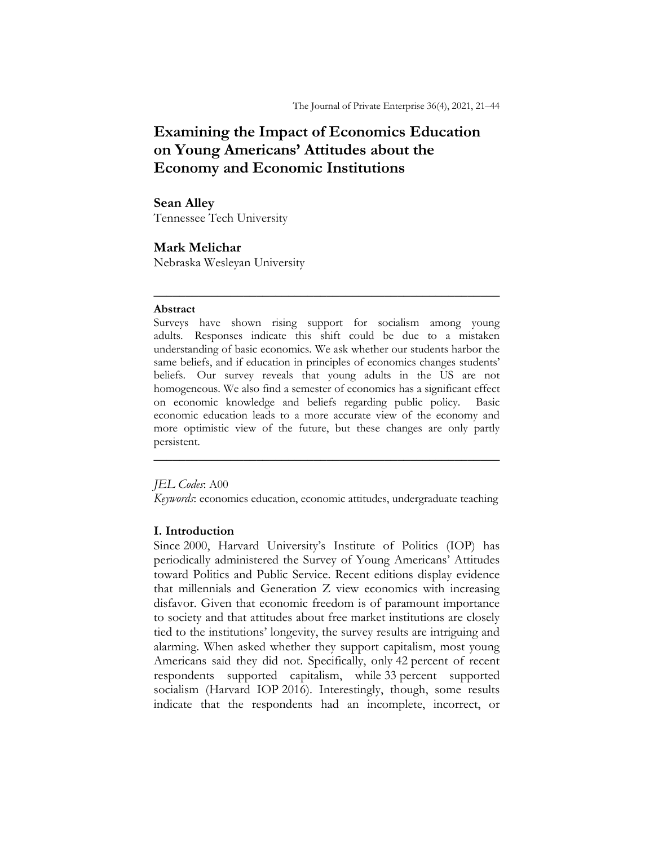# **Examining the Impact of Economics Education on Young Americans' Attitudes about the Economy and Economic Institutions**

# **Sean Alley**

Tennessee Tech University

# **Mark Melichar**

Nebraska Wesleyan University

### **Abstract**

Surveys have shown rising support for socialism among young adults. Responses indicate this shift could be due to a mistaken understanding of basic economics. We ask whether our students harbor the same beliefs, and if education in principles of economics changes students' beliefs. Our survey reveals that young adults in the US are not homogeneous. We also find a semester of economics has a significant effect on economic knowledge and beliefs regarding public policy. Basic economic education leads to a more accurate view of the economy and more optimistic view of the future, but these changes are only partly persistent.

\_\_\_\_\_\_\_\_\_\_\_\_\_\_\_\_\_\_\_\_\_\_\_\_\_\_\_\_\_\_\_\_\_\_\_\_\_\_\_\_\_\_\_\_\_\_\_\_\_\_\_\_\_\_

# *JEL Codes*: A00

*Keywords*: economics education, economic attitudes, undergraduate teaching

\_\_\_\_\_\_\_\_\_\_\_\_\_\_\_\_\_\_\_\_\_\_\_\_\_\_\_\_\_\_\_\_\_\_\_\_\_\_\_\_\_\_\_\_\_\_\_\_\_\_\_\_\_\_

# **I. Introduction**

Since 2000, Harvard University's Institute of Politics (IOP) has periodically administered the Survey of Young Americans' Attitudes toward Politics and Public Service. Recent editions display evidence that millennials and Generation Z view economics with increasing disfavor. Given that economic freedom is of paramount importance to society and that attitudes about free market institutions are closely tied to the institutions' longevity, the survey results are intriguing and alarming. When asked whether they support capitalism, most young Americans said they did not. Specifically, only 42 percent of recent respondents supported capitalism, while 33 percent supported socialism (Harvard IOP 2016). Interestingly, though, some results indicate that the respondents had an incomplete, incorrect, or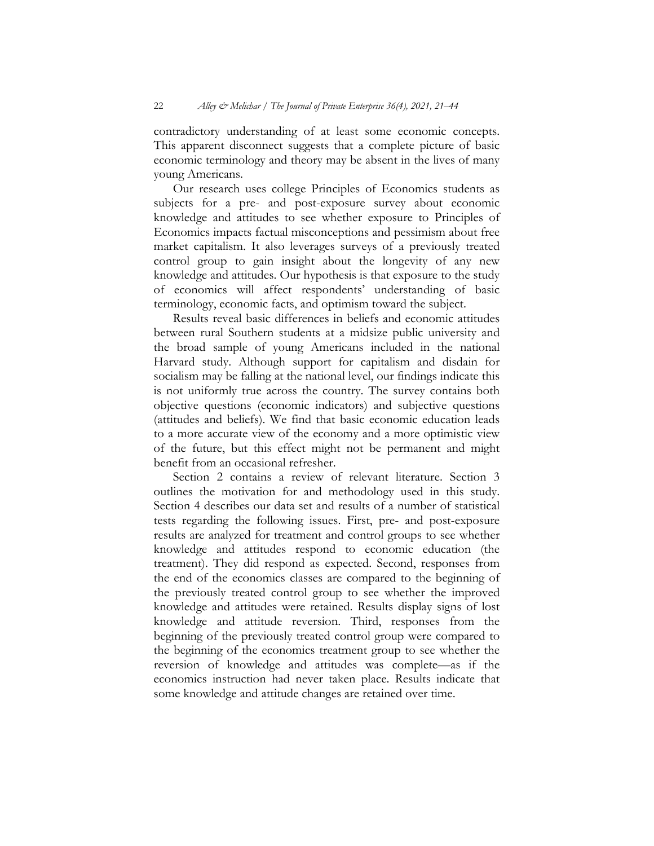contradictory understanding of at least some economic concepts. This apparent disconnect suggests that a complete picture of basic economic terminology and theory may be absent in the lives of many young Americans.

Our research uses college Principles of Economics students as subjects for a pre- and post-exposure survey about economic knowledge and attitudes to see whether exposure to Principles of Economics impacts factual misconceptions and pessimism about free market capitalism. It also leverages surveys of a previously treated control group to gain insight about the longevity of any new knowledge and attitudes. Our hypothesis is that exposure to the study of economics will affect respondents' understanding of basic terminology, economic facts, and optimism toward the subject.

Results reveal basic differences in beliefs and economic attitudes between rural Southern students at a midsize public university and the broad sample of young Americans included in the national Harvard study. Although support for capitalism and disdain for socialism may be falling at the national level, our findings indicate this is not uniformly true across the country. The survey contains both objective questions (economic indicators) and subjective questions (attitudes and beliefs). We find that basic economic education leads to a more accurate view of the economy and a more optimistic view of the future, but this effect might not be permanent and might benefit from an occasional refresher.

Section 2 contains a review of relevant literature. Section 3 outlines the motivation for and methodology used in this study. Section 4 describes our data set and results of a number of statistical tests regarding the following issues. First, pre- and post-exposure results are analyzed for treatment and control groups to see whether knowledge and attitudes respond to economic education (the treatment). They did respond as expected. Second, responses from the end of the economics classes are compared to the beginning of the previously treated control group to see whether the improved knowledge and attitudes were retained. Results display signs of lost knowledge and attitude reversion. Third, responses from the beginning of the previously treated control group were compared to the beginning of the economics treatment group to see whether the reversion of knowledge and attitudes was complete—as if the economics instruction had never taken place. Results indicate that some knowledge and attitude changes are retained over time.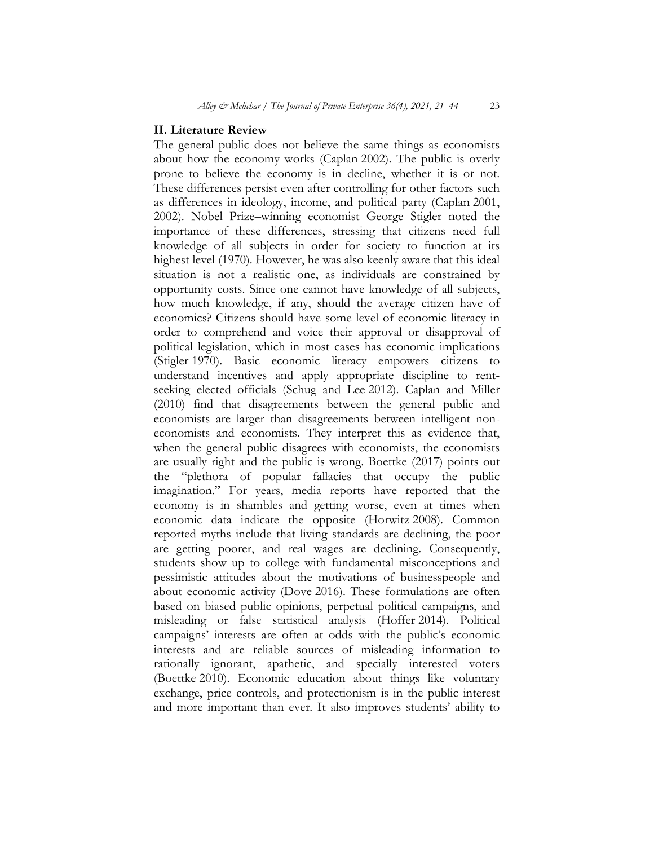#### **II. Literature Review**

The general public does not believe the same things as economists about how the economy works (Caplan 2002). The public is overly prone to believe the economy is in decline, whether it is or not. These differences persist even after controlling for other factors such as differences in ideology, income, and political party (Caplan 2001, 2002). Nobel Prize–winning economist George Stigler noted the importance of these differences, stressing that citizens need full knowledge of all subjects in order for society to function at its highest level (1970). However, he was also keenly aware that this ideal situation is not a realistic one, as individuals are constrained by opportunity costs. Since one cannot have knowledge of all subjects, how much knowledge, if any, should the average citizen have of economics? Citizens should have some level of economic literacy in order to comprehend and voice their approval or disapproval of political legislation, which in most cases has economic implications (Stigler 1970). Basic economic literacy empowers citizens to understand incentives and apply appropriate discipline to rentseeking elected officials (Schug and Lee 2012). Caplan and Miller (2010) find that disagreements between the general public and economists are larger than disagreements between intelligent noneconomists and economists. They interpret this as evidence that, when the general public disagrees with economists, the economists are usually right and the public is wrong. Boettke (2017) points out the "plethora of popular fallacies that occupy the public imagination." For years, media reports have reported that the economy is in shambles and getting worse, even at times when economic data indicate the opposite (Horwitz 2008). Common reported myths include that living standards are declining, the poor are getting poorer, and real wages are declining. Consequently, students show up to college with fundamental misconceptions and pessimistic attitudes about the motivations of businesspeople and about economic activity (Dove 2016). These formulations are often based on biased public opinions, perpetual political campaigns, and misleading or false statistical analysis (Hoffer 2014). Political campaigns' interests are often at odds with the public's economic interests and are reliable sources of misleading information to rationally ignorant, apathetic, and specially interested voters (Boettke 2010). Economic education about things like voluntary exchange, price controls, and protectionism is in the public interest and more important than ever. It also improves students' ability to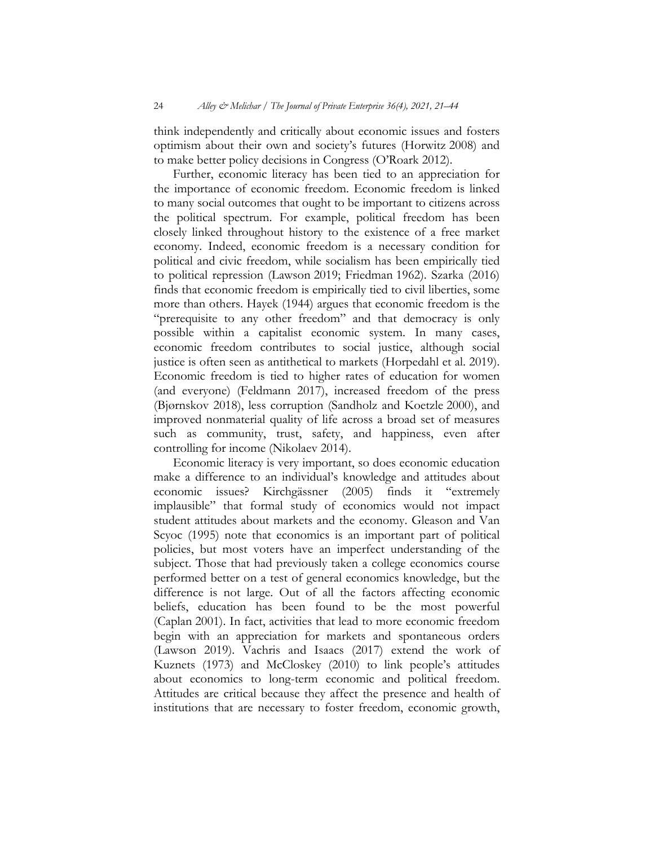think independently and critically about economic issues and fosters optimism about their own and society's futures (Horwitz 2008) and to make better policy decisions in Congress (O'Roark 2012).

Further, economic literacy has been tied to an appreciation for the importance of economic freedom. Economic freedom is linked to many social outcomes that ought to be important to citizens across the political spectrum. For example, political freedom has been closely linked throughout history to the existence of a free market economy. Indeed, economic freedom is a necessary condition for political and civic freedom, while socialism has been empirically tied to political repression (Lawson 2019; Friedman 1962). Szarka (2016) finds that economic freedom is empirically tied to civil liberties, some more than others. Hayek (1944) argues that economic freedom is the "prerequisite to any other freedom" and that democracy is only possible within a capitalist economic system. In many cases, economic freedom contributes to social justice, although social justice is often seen as antithetical to markets (Horpedahl et al. 2019). Economic freedom is tied to higher rates of education for women (and everyone) (Feldmann 2017), increased freedom of the press (Bjørnskov 2018), less corruption (Sandholz and Koetzle 2000), and improved nonmaterial quality of life across a broad set of measures such as community, trust, safety, and happiness, even after controlling for income (Nikolaev 2014).

Economic literacy is very important, so does economic education make a difference to an individual's knowledge and attitudes about economic issues? Kirchgässner (2005) finds it "extremely implausible" that formal study of economics would not impact student attitudes about markets and the economy. Gleason and Van Scyoc (1995) note that economics is an important part of political policies, but most voters have an imperfect understanding of the subject. Those that had previously taken a college economics course performed better on a test of general economics knowledge, but the difference is not large. Out of all the factors affecting economic beliefs, education has been found to be the most powerful (Caplan 2001). In fact, activities that lead to more economic freedom begin with an appreciation for markets and spontaneous orders (Lawson 2019). Vachris and Isaacs (2017) extend the work of Kuznets (1973) and McCloskey (2010) to link people's attitudes about economics to long-term economic and political freedom. Attitudes are critical because they affect the presence and health of institutions that are necessary to foster freedom, economic growth,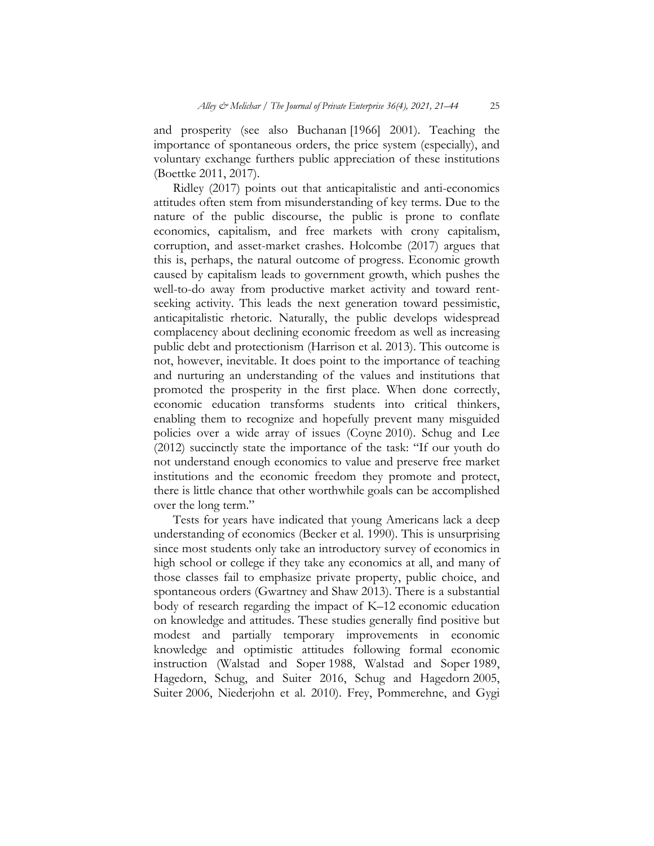and prosperity (see also Buchanan [1966] 2001). Teaching the importance of spontaneous orders, the price system (especially), and voluntary exchange furthers public appreciation of these institutions (Boettke 2011, 2017).

Ridley (2017) points out that anticapitalistic and anti-economics attitudes often stem from misunderstanding of key terms. Due to the nature of the public discourse, the public is prone to conflate economics, capitalism, and free markets with crony capitalism, corruption, and asset-market crashes. Holcombe (2017) argues that this is, perhaps, the natural outcome of progress. Economic growth caused by capitalism leads to government growth, which pushes the well-to-do away from productive market activity and toward rentseeking activity. This leads the next generation toward pessimistic, anticapitalistic rhetoric. Naturally, the public develops widespread complacency about declining economic freedom as well as increasing public debt and protectionism (Harrison et al. 2013). This outcome is not, however, inevitable. It does point to the importance of teaching and nurturing an understanding of the values and institutions that promoted the prosperity in the first place. When done correctly, economic education transforms students into critical thinkers, enabling them to recognize and hopefully prevent many misguided policies over a wide array of issues (Coyne 2010). Schug and Lee (2012) succinctly state the importance of the task: "If our youth do not understand enough economics to value and preserve free market institutions and the economic freedom they promote and protect, there is little chance that other worthwhile goals can be accomplished over the long term."

Tests for years have indicated that young Americans lack a deep understanding of economics (Becker et al. 1990). This is unsurprising since most students only take an introductory survey of economics in high school or college if they take any economics at all, and many of those classes fail to emphasize private property, public choice, and spontaneous orders (Gwartney and Shaw 2013). There is a substantial body of research regarding the impact of K–12 economic education on knowledge and attitudes. These studies generally find positive but modest and partially temporary improvements in economic knowledge and optimistic attitudes following formal economic instruction (Walstad and Soper 1988, Walstad and Soper 1989, Hagedorn, Schug, and Suiter 2016, Schug and Hagedorn 2005, Suiter 2006, Niederjohn et al. 2010). Frey, Pommerehne, and Gygi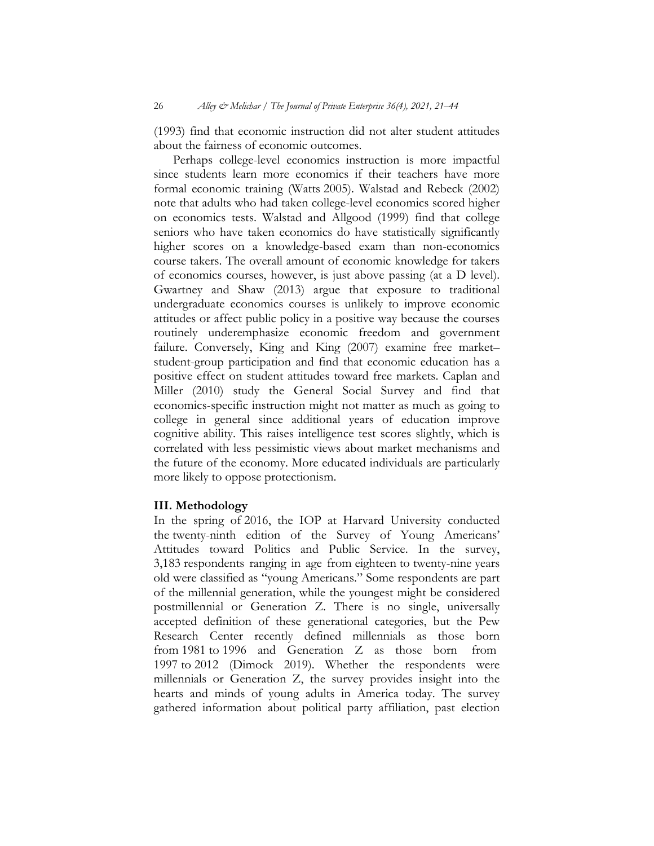(1993) find that economic instruction did not alter student attitudes about the fairness of economic outcomes.

Perhaps college-level economics instruction is more impactful since students learn more economics if their teachers have more formal economic training (Watts 2005). Walstad and Rebeck (2002) note that adults who had taken college-level economics scored higher on economics tests. Walstad and Allgood (1999) find that college seniors who have taken economics do have statistically significantly higher scores on a knowledge-based exam than non-economics course takers. The overall amount of economic knowledge for takers of economics courses, however, is just above passing (at a D level). Gwartney and Shaw (2013) argue that exposure to traditional undergraduate economics courses is unlikely to improve economic attitudes or affect public policy in a positive way because the courses routinely underemphasize economic freedom and government failure. Conversely, King and King (2007) examine free market– student-group participation and find that economic education has a positive effect on student attitudes toward free markets. Caplan and Miller (2010) study the General Social Survey and find that economics-specific instruction might not matter as much as going to college in general since additional years of education improve cognitive ability. This raises intelligence test scores slightly, which is correlated with less pessimistic views about market mechanisms and the future of the economy. More educated individuals are particularly more likely to oppose protectionism.

### **III. Methodology**

In the spring of 2016, the IOP at Harvard University conducted the twenty-ninth edition of the Survey of Young Americans' Attitudes toward Politics and Public Service. In the survey, 3,183 respondents ranging in age from eighteen to twenty-nine years old were classified as "young Americans." Some respondents are part of the millennial generation, while the youngest might be considered postmillennial or Generation Z. There is no single, universally accepted definition of these generational categories, but the Pew Research Center recently defined millennials as those born from 1981 to 1996 and Generation Z as those born from 1997 to 2012 (Dimock 2019). Whether the respondents were millennials or Generation Z, the survey provides insight into the hearts and minds of young adults in America today. The survey gathered information about political party affiliation, past election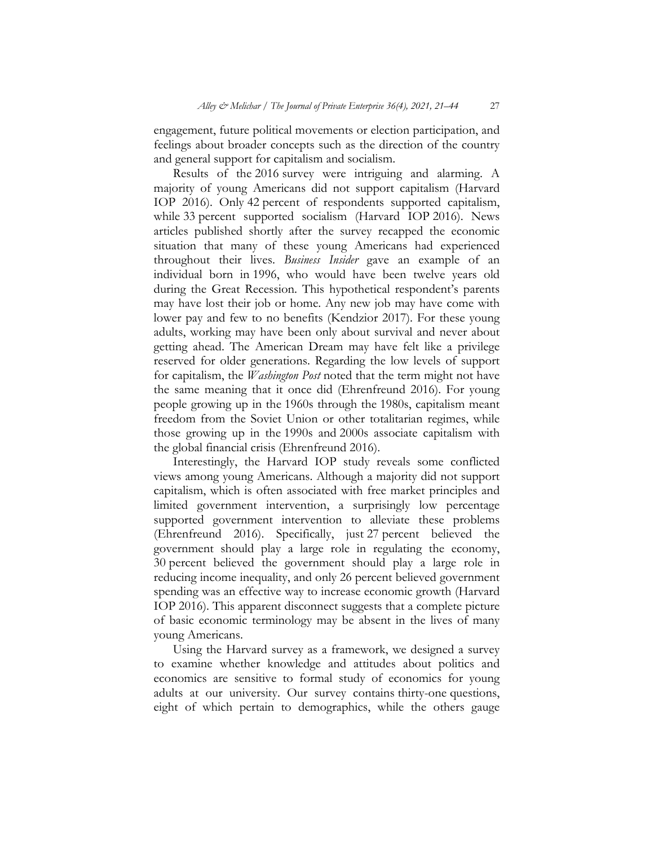engagement, future political movements or election participation, and feelings about broader concepts such as the direction of the country and general support for capitalism and socialism.

Results of the 2016 survey were intriguing and alarming. A majority of young Americans did not support capitalism (Harvard IOP 2016). Only 42 percent of respondents supported capitalism, while 33 percent supported socialism (Harvard IOP 2016). News articles published shortly after the survey recapped the economic situation that many of these young Americans had experienced throughout their lives. *Business Insider* gave an example of an individual born in 1996, who would have been twelve years old during the Great Recession. This hypothetical respondent's parents may have lost their job or home. Any new job may have come with lower pay and few to no benefits (Kendzior 2017). For these young adults, working may have been only about survival and never about getting ahead. The American Dream may have felt like a privilege reserved for older generations. Regarding the low levels of support for capitalism, the *Washington Post* noted that the term might not have the same meaning that it once did (Ehrenfreund 2016). For young people growing up in the 1960s through the 1980s, capitalism meant freedom from the Soviet Union or other totalitarian regimes, while those growing up in the 1990s and 2000s associate capitalism with the global financial crisis (Ehrenfreund 2016).

Interestingly, the Harvard IOP study reveals some conflicted views among young Americans. Although a majority did not support capitalism, which is often associated with free market principles and limited government intervention, a surprisingly low percentage supported government intervention to alleviate these problems (Ehrenfreund 2016). Specifically, just 27 percent believed the government should play a large role in regulating the economy, 30 percent believed the government should play a large role in reducing income inequality, and only 26 percent believed government spending was an effective way to increase economic growth (Harvard IOP 2016). This apparent disconnect suggests that a complete picture of basic economic terminology may be absent in the lives of many young Americans.

Using the Harvard survey as a framework, we designed a survey to examine whether knowledge and attitudes about politics and economics are sensitive to formal study of economics for young adults at our university. Our survey contains thirty-one questions, eight of which pertain to demographics, while the others gauge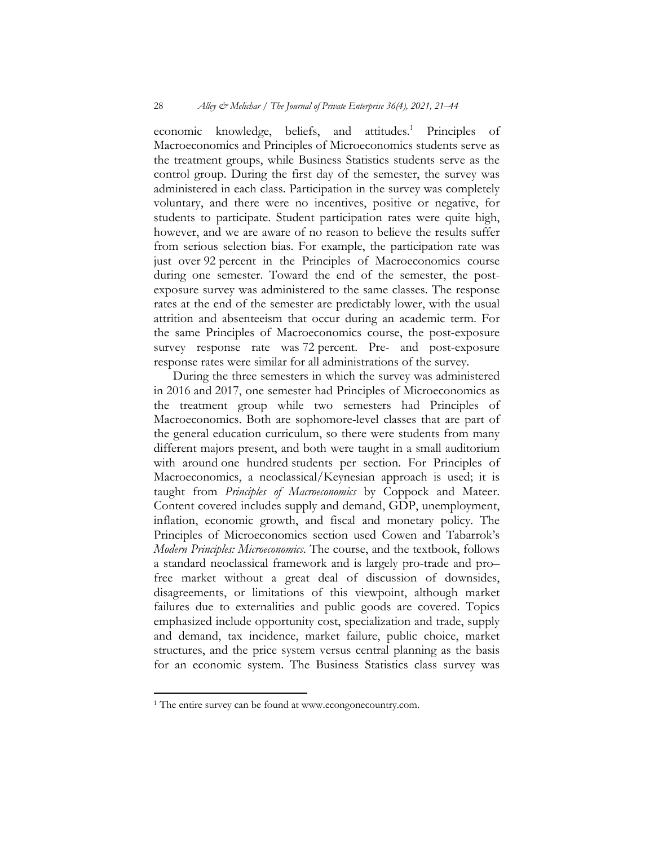economic knowledge, beliefs, and attitudes.<sup>1</sup> Principles of Macroeconomics and Principles of Microeconomics students serve as the treatment groups, while Business Statistics students serve as the control group. During the first day of the semester, the survey was administered in each class. Participation in the survey was completely voluntary, and there were no incentives, positive or negative, for students to participate. Student participation rates were quite high, however, and we are aware of no reason to believe the results suffer from serious selection bias. For example, the participation rate was just over 92 percent in the Principles of Macroeconomics course during one semester. Toward the end of the semester, the postexposure survey was administered to the same classes. The response rates at the end of the semester are predictably lower, with the usual attrition and absenteeism that occur during an academic term. For the same Principles of Macroeconomics course, the post-exposure survey response rate was 72 percent. Pre- and post-exposure response rates were similar for all administrations of the survey.

During the three semesters in which the survey was administered in 2016 and 2017, one semester had Principles of Microeconomics as the treatment group while two semesters had Principles of Macroeconomics. Both are sophomore-level classes that are part of the general education curriculum, so there were students from many different majors present, and both were taught in a small auditorium with around one hundred students per section. For Principles of Macroeconomics, a neoclassical/Keynesian approach is used; it is taught from *Principles of Macroeconomics* by Coppock and Mateer. Content covered includes supply and demand, GDP, unemployment, inflation, economic growth, and fiscal and monetary policy. The Principles of Microeconomics section used Cowen and Tabarrok's *Modern Principles: Microeconomics*. The course, and the textbook, follows a standard neoclassical framework and is largely pro-trade and pro– free market without a great deal of discussion of downsides, disagreements, or limitations of this viewpoint, although market failures due to externalities and public goods are covered. Topics emphasized include opportunity cost, specialization and trade, supply and demand, tax incidence, market failure, public choice, market structures, and the price system versus central planning as the basis for an economic system. The Business Statistics class survey was

<sup>&</sup>lt;sup>1</sup> The entire survey can be found at www.econgonecountry.com.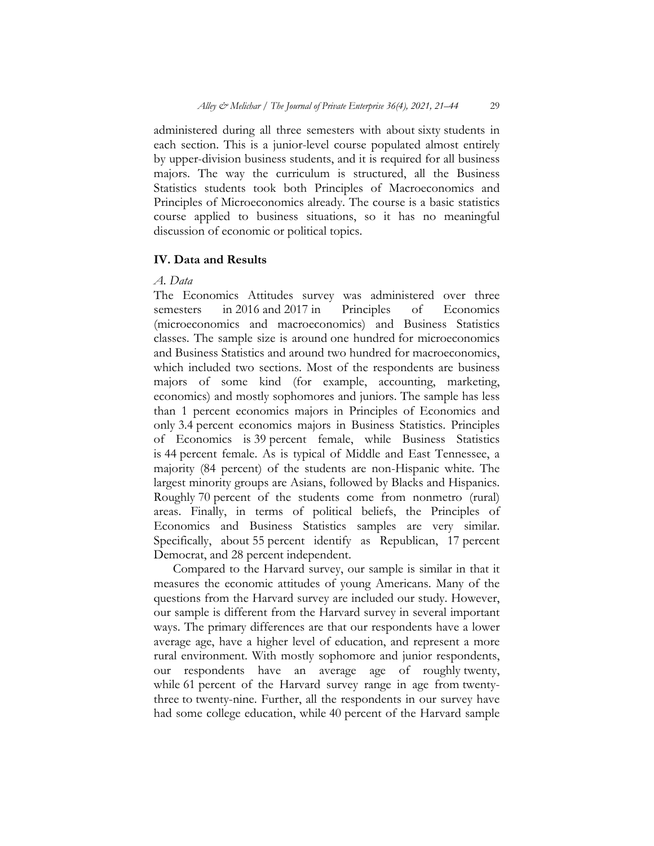administered during all three semesters with about sixty students in each section. This is a junior-level course populated almost entirely by upper-division business students, and it is required for all business majors. The way the curriculum is structured, all the Business Statistics students took both Principles of Macroeconomics and Principles of Microeconomics already. The course is a basic statistics course applied to business situations, so it has no meaningful discussion of economic or political topics.

# **IV. Data and Results**

### *A. Data*

The Economics Attitudes survey was administered over three<br>semesters in 2016 and 2017 in Principles of Economics semesters in 2016 and 2017 in Principles of Economics (microeconomics and macroeconomics) and Business Statistics classes. The sample size is around one hundred for microeconomics and Business Statistics and around two hundred for macroeconomics, which included two sections. Most of the respondents are business majors of some kind (for example, accounting, marketing, economics) and mostly sophomores and juniors. The sample has less than 1 percent economics majors in Principles of Economics and only 3.4 percent economics majors in Business Statistics. Principles of Economics is 39 percent female, while Business Statistics is 44 percent female. As is typical of Middle and East Tennessee, a majority (84 percent) of the students are non-Hispanic white. The largest minority groups are Asians, followed by Blacks and Hispanics. Roughly 70 percent of the students come from nonmetro (rural) areas. Finally, in terms of political beliefs, the Principles of Economics and Business Statistics samples are very similar. Specifically, about 55 percent identify as Republican, 17 percent Democrat, and 28 percent independent.

Compared to the Harvard survey, our sample is similar in that it measures the economic attitudes of young Americans. Many of the questions from the Harvard survey are included our study. However, our sample is different from the Harvard survey in several important ways. The primary differences are that our respondents have a lower average age, have a higher level of education, and represent a more rural environment. With mostly sophomore and junior respondents, our respondents have an average age of roughly twenty, while 61 percent of the Harvard survey range in age from twentythree to twenty-nine. Further, all the respondents in our survey have had some college education, while 40 percent of the Harvard sample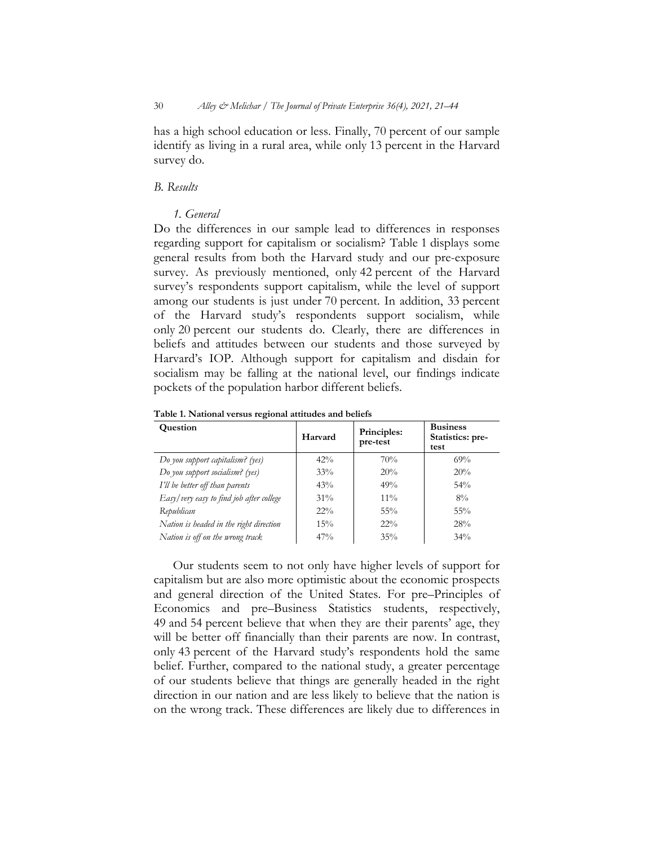has a high school education or less. Finally, 70 percent of our sample identify as living in a rural area, while only 13 percent in the Harvard survey do.

#### *B. Results*

### *1. General*

Do the differences in our sample lead to differences in responses regarding support for capitalism or socialism? Table 1 displays some general results from both the Harvard study and our pre-exposure survey. As previously mentioned, only 42 percent of the Harvard survey's respondents support capitalism, while the level of support among our students is just under 70 percent. In addition, 33 percent of the Harvard study's respondents support socialism, while only 20 percent our students do. Clearly, there are differences in beliefs and attitudes between our students and those surveyed by Harvard's IOP. Although support for capitalism and disdain for socialism may be falling at the national level, our findings indicate pockets of the population harbor different beliefs.

| <b>Question</b>                          | Harvard | Principles:<br>pre-test | <b>Business</b><br>Statistics: pre-<br>test |
|------------------------------------------|---------|-------------------------|---------------------------------------------|
| Do you support capitalism? (yes)         | 42%     | 70%                     | 69%                                         |
| Do you support socialism? (yes)          | 33%     | 20%                     | 20%                                         |
| I'll be better off than parents          | 43%     | 49%                     | $54\%$                                      |
| Easy/very easy to find job after college | $31\%$  | $11\%$                  | $8\%$                                       |
| Republican                               | $22\%$  | $55\%$                  | $55\%$                                      |
| Nation is headed in the right direction  | 15%     | $22\%$                  | 28%                                         |
| Nation is off on the wrong track         | 47%     | 35%                     | $34\%$                                      |

**Table 1. National versus regional attitudes and beliefs**

Our students seem to not only have higher levels of support for capitalism but are also more optimistic about the economic prospects and general direction of the United States. For pre–Principles of Economics and pre–Business Statistics students, respectively, 49 and 54 percent believe that when they are their parents' age, they will be better off financially than their parents are now. In contrast, only 43 percent of the Harvard study's respondents hold the same belief. Further, compared to the national study, a greater percentage of our students believe that things are generally headed in the right direction in our nation and are less likely to believe that the nation is on the wrong track. These differences are likely due to differences in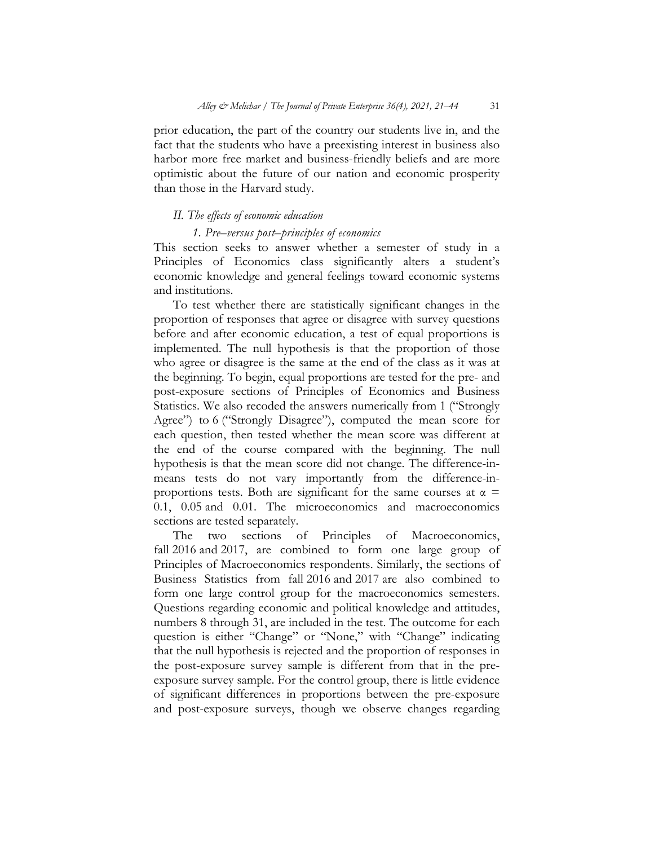prior education, the part of the country our students live in, and the fact that the students who have a preexisting interest in business also harbor more free market and business-friendly beliefs and are more optimistic about the future of our nation and economic prosperity than those in the Harvard study.

## *II. The effects of economic education*

### *1. Pre–versus post–principles of economics*

This section seeks to answer whether a semester of study in a Principles of Economics class significantly alters a student's economic knowledge and general feelings toward economic systems and institutions.

To test whether there are statistically significant changes in the proportion of responses that agree or disagree with survey questions before and after economic education, a test of equal proportions is implemented. The null hypothesis is that the proportion of those who agree or disagree is the same at the end of the class as it was at the beginning. To begin, equal proportions are tested for the pre- and post-exposure sections of Principles of Economics and Business Statistics. We also recoded the answers numerically from 1 ("Strongly Agree") to 6 ("Strongly Disagree"), computed the mean score for each question, then tested whether the mean score was different at the end of the course compared with the beginning. The null hypothesis is that the mean score did not change. The difference-inmeans tests do not vary importantly from the difference-inproportions tests. Both are significant for the same courses at  $\alpha$  = 0.1, 0.05 and 0.01. The microeconomics and macroeconomics sections are tested separately.

The two sections of Principles of Macroeconomics, fall 2016 and 2017, are combined to form one large group of Principles of Macroeconomics respondents. Similarly, the sections of Business Statistics from fall 2016 and 2017 are also combined to form one large control group for the macroeconomics semesters. Questions regarding economic and political knowledge and attitudes, numbers 8 through 31, are included in the test. The outcome for each question is either "Change" or "None," with "Change" indicating that the null hypothesis is rejected and the proportion of responses in the post-exposure survey sample is different from that in the preexposure survey sample. For the control group, there is little evidence of significant differences in proportions between the pre-exposure and post-exposure surveys, though we observe changes regarding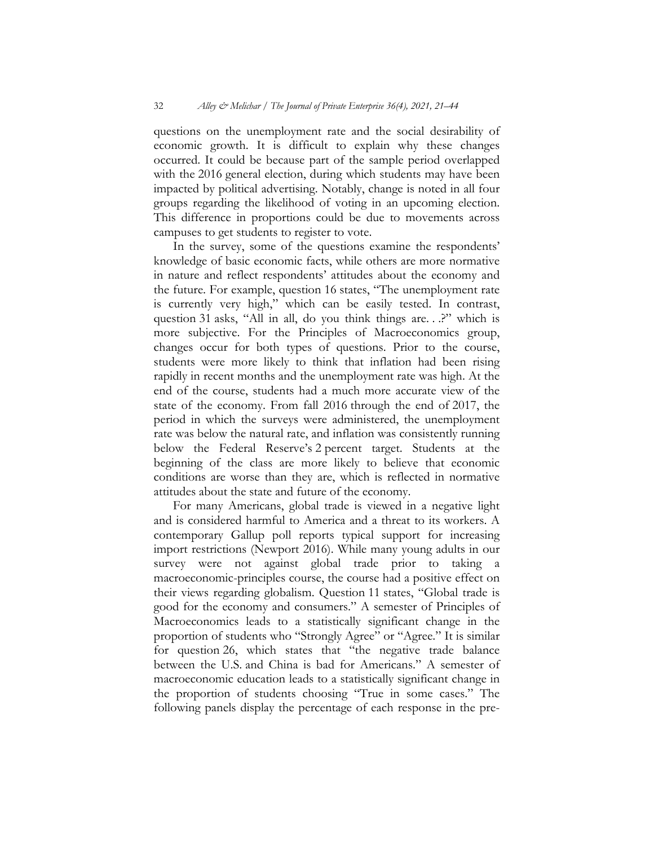questions on the unemployment rate and the social desirability of economic growth. It is difficult to explain why these changes occurred. It could be because part of the sample period overlapped with the 2016 general election, during which students may have been impacted by political advertising. Notably, change is noted in all four groups regarding the likelihood of voting in an upcoming election. This difference in proportions could be due to movements across campuses to get students to register to vote.

In the survey, some of the questions examine the respondents' knowledge of basic economic facts, while others are more normative in nature and reflect respondents' attitudes about the economy and the future. For example, question 16 states, "The unemployment rate is currently very high," which can be easily tested. In contrast, question 31 asks, "All in all, do you think things are. . .?" which is more subjective. For the Principles of Macroeconomics group, changes occur for both types of questions. Prior to the course, students were more likely to think that inflation had been rising rapidly in recent months and the unemployment rate was high. At the end of the course, students had a much more accurate view of the state of the economy. From fall 2016 through the end of 2017, the period in which the surveys were administered, the unemployment rate was below the natural rate, and inflation was consistently running below the Federal Reserve's 2 percent target. Students at the beginning of the class are more likely to believe that economic conditions are worse than they are, which is reflected in normative attitudes about the state and future of the economy.

For many Americans, global trade is viewed in a negative light and is considered harmful to America and a threat to its workers. A contemporary Gallup poll reports typical support for increasing import restrictions (Newport 2016). While many young adults in our survey were not against global trade prior to taking a macroeconomic-principles course, the course had a positive effect on their views regarding globalism. Question 11 states, "Global trade is good for the economy and consumers." A semester of Principles of Macroeconomics leads to a statistically significant change in the proportion of students who "Strongly Agree" or "Agree." It is similar for question 26, which states that "the negative trade balance between the U.S. and China is bad for Americans." A semester of macroeconomic education leads to a statistically significant change in the proportion of students choosing "True in some cases." The following panels display the percentage of each response in the pre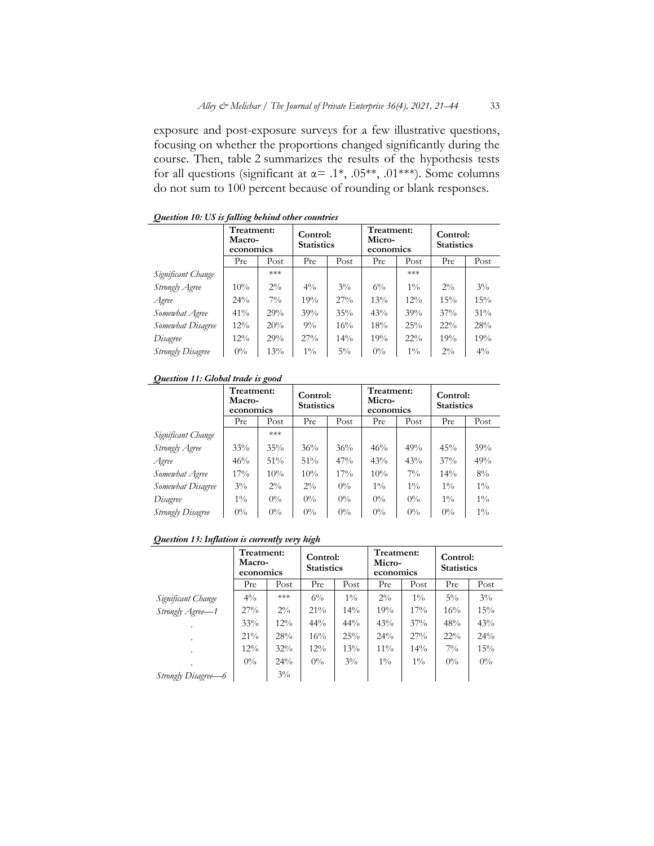exposure and post-exposure surveys for a few illustrative questions, focusing on whether the proportions changed significantly during the course. Then, table 2 summarizes the results of the hypothesis tests for all questions (significant at  $\alpha = .1^*$ , .05<sup>\*\*</sup>, .01<sup>\*\*\*</sup>). Some columns do not sum to 100 percent because of rounding or blank responses.

|                          | Treatment:<br>Macro-<br>economics |       | Control:<br><b>Statistics</b> |        | Treatment:<br>Micro-<br>economics |        | Control:<br><b>Statistics</b> |        |
|--------------------------|-----------------------------------|-------|-------------------------------|--------|-----------------------------------|--------|-------------------------------|--------|
|                          | Pre                               | Post  | Pre                           | Post   | Pre                               | Post   | Pre                           | Post   |
| Significant Change       |                                   | ***   |                               |        |                                   | ***    |                               |        |
| Strongly Agree           | 10%                               | $2\%$ | $4\%$                         | $3\%$  | $6\%$                             | $1\%$  | $2\%$                         | $3\%$  |
| Agree                    | $24\%$                            | $7\%$ | 19%                           | 27%    | 13%                               | $12\%$ | 15%                           | 15%    |
| Somewhat Agree           | 41%                               | 29%   | 39%                           | 35%    | 43%                               | 39%    | 37%                           | $31\%$ |
| Somewhat Disagree        | $12\%$                            | 20%   | $9\%$                         | $16\%$ | 18%                               | 25%    | $22\%$                        | 28%    |
| Disagree                 | $12\%$                            | 29%   | 27%                           | $14\%$ | 19%                               | 22%    | 19%                           | 19%    |
| <b>Strongly Disagree</b> | $0\%$                             | 13%   | $1\%$                         | $5\%$  | $0\%$                             | $1\%$  | $2\%$                         | $4\%$  |

#### *Question 10: US is falling behind other countries*

#### *Question 11: Global trade is good*

| $\tilde{}$               | Treatment:<br>Macro-<br>economics |        | Control:<br><b>Statistics</b> |       | Treatment:<br>Micro-<br>economics |       | Control:<br><b>Statistics</b> |       |
|--------------------------|-----------------------------------|--------|-------------------------------|-------|-----------------------------------|-------|-------------------------------|-------|
|                          | Pre                               | Post   | Pre                           | Post  | Pre                               | Post  | Pre                           | Post  |
| Significant Change       |                                   | ***    |                               |       |                                   |       |                               |       |
| Strongly Agree           | 33%                               | $35\%$ | 36%                           | 36%   | 46%                               | 49%   | 45%                           | 39%   |
| Agree                    | 46%                               | 51%    | 51%                           | 47%   | 43%                               | 43%   | 37%                           | 49%   |
| Somewhat Agree           | 17%                               | 10%    | 10%                           | 17%   | 10%                               | $7\%$ | $14\%$                        | $8\%$ |
| Somewhat Disagree        | $3\%$                             | $2\%$  | $2\%$                         | $0\%$ | $1\%$                             | $1\%$ | $1\%$                         | $1\%$ |
| Disagree                 | $1\%$                             | $0\%$  | $0\%$                         | $0\%$ | $0\%$                             | $0\%$ | $1\%$                         | $1\%$ |
| <b>Strongly Disagree</b> | $0\%$                             | $0\%$  | $0\%$                         | $0\%$ | $0\%$                             | $0\%$ | $0\%$                         | $1\%$ |

*Question 13: Inflation is currently very high*

|                     | Treatment:<br>Macro-<br>economics |        | Control:<br><b>Statistics</b> |        | Treatment:<br>Micro-<br>economics |        | Control:<br><b>Statistics</b> |       |
|---------------------|-----------------------------------|--------|-------------------------------|--------|-----------------------------------|--------|-------------------------------|-------|
|                     | Pre                               | Post   | Pre                           | Post   | Pre                               | Post   | Pre                           | Post  |
| Significant Change  | $4\%$                             | $***$  | $6\%$                         | $1\%$  | $2\%$                             | $1\%$  | $5\%$                         | $3\%$ |
| Strongly Agree-1    | 27%                               | $2\%$  | $21\%$                        | $14\%$ | 19%                               | $17\%$ | 16%                           | 15%   |
|                     | 33%                               | $12\%$ | $44\%$                        | $44\%$ | 43%                               | 37%    | 48%                           | 43%   |
|                     | $21\%$                            | 28%    | $16\%$                        | 25%    | $24\%$                            | 27%    | $22\%$                        | 24%   |
| $\blacksquare$      | 12%                               | 32%    | $12\%$                        | 13%    | $11\%$                            | $14\%$ | $7\%$                         | 15%   |
|                     | $0\%$                             | $24\%$ | $0\%$                         | $3\%$  | $1\%$                             | $1\%$  | $0\%$                         | $0\%$ |
| Strongly Disagree–6 |                                   | $3\%$  |                               |        |                                   |        |                               |       |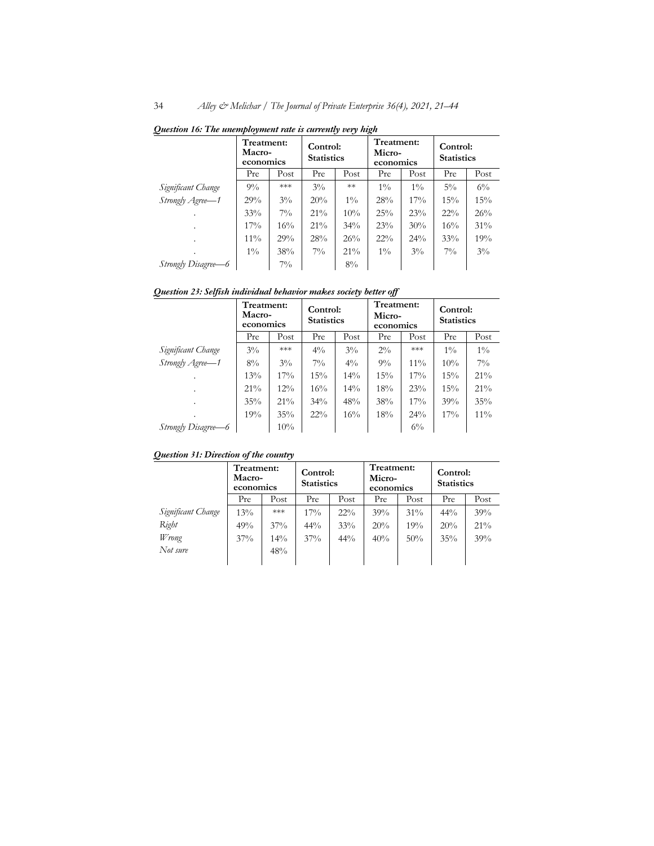|                     | Treatment:<br>Macro-<br>economics |       | Control:<br><b>Statistics</b> |        | Treatment:<br>Micro-<br>economics |       | Control:<br><b>Statistics</b> |        |
|---------------------|-----------------------------------|-------|-------------------------------|--------|-----------------------------------|-------|-------------------------------|--------|
|                     | Pre                               | Post  | Pre                           | Post   | Pre                               | Post  | Pre                           | Post   |
| Significant Change  | $9\%$                             | $***$ | $3\%$                         | $**$   | $1\%$                             | $1\%$ | $5\%$                         | $6\%$  |
| Strongly Agree-1    | 29%                               | $3\%$ | 20%                           | $1\%$  | 28%                               | 17%   | 15%                           | 15%    |
|                     | 33%                               | $7\%$ | $21\%$                        | 10%    | 25%                               | 23%   | $22\%$                        | 26%    |
|                     | $17\%$                            | 16%   | $21\%$                        | $34\%$ | 23%                               | 30%   | 16%                           | $31\%$ |
|                     | $11\%$                            | 29%   | 28%                           | 26%    | $22\%$                            | 24%   | 33%                           | 19%    |
|                     | $1\%$                             | 38%   | $7\%$                         | $21\%$ | $1\%$                             | $3\%$ | $7\%$                         | $3\%$  |
| Strongly Disagree–6 |                                   | $7\%$ |                               | 8%     |                                   |       |                               |        |

*Question 16: The unemployment rate is currently very high*

*Question 23: Selfish individual behavior makes society better off*

|                     | Treatment:<br>Macro-<br>economics |        | Control:<br><b>Statistics</b> |        | Treatment:<br>Micro-<br>economics |        | Control:<br><b>Statistics</b> |        |
|---------------------|-----------------------------------|--------|-------------------------------|--------|-----------------------------------|--------|-------------------------------|--------|
|                     | Pre                               | Post   | Pre                           | Post   | Pre                               | Post   | Pre                           | Post   |
| Significant Change  | $3\%$                             | $***$  | $4\%$                         | $3\%$  | $2\%$                             | ***    | $1\%$                         | $1\%$  |
| Strongly Agree-1    | $8\%$                             | $3\%$  | $7\%$                         | $4\%$  | $9\%$                             | $11\%$ | $10\%$                        | $7\%$  |
| ٠                   | 13%                               | $17\%$ | 15%                           | $14\%$ | 15%                               | 17%    | 15%                           | 21%    |
| ٠                   | $21\%$                            | $12\%$ | 16%                           | $14\%$ | 18%                               | 23%    | 15%                           | $21\%$ |
| ٠                   | 35%                               | $21\%$ | $34\%$                        | 48%    | 38%                               | 17%    | 39%                           | 35%    |
|                     | 19%                               | $35\%$ | $22\%$                        | 16%    | 18%                               | 24%    | $17\%$                        | $11\%$ |
| Strongly Disagree–6 |                                   | 10%    |                               |        |                                   | $6\%$  |                               |        |

*Question 31: Direction of the country*

|                    | Treatment:<br>Macro-<br>economics |        | Control:<br><b>Statistics</b> |        | Treatment:<br>Micro-<br>economics |        | Control:<br><b>Statistics</b> |      |
|--------------------|-----------------------------------|--------|-------------------------------|--------|-----------------------------------|--------|-------------------------------|------|
|                    | Pre                               | Post   | Pre                           | Post   | Pre                               | Post   | Pre                           | Post |
| Significant Change | 13%                               | ***    | $17\%$                        | $22\%$ | 39%                               | $31\%$ | 44%                           | 39%  |
| Right              | 49%                               | 37%    | 44%                           | 33%    | 20%                               | 19%    | 20%                           | 21%  |
| Wrong              | 37%                               | $14\%$ | 37%                           | 44%    | 40%                               | 50%    | 35%                           | 39%  |
| Not sure           |                                   | 48%    |                               |        |                                   |        |                               |      |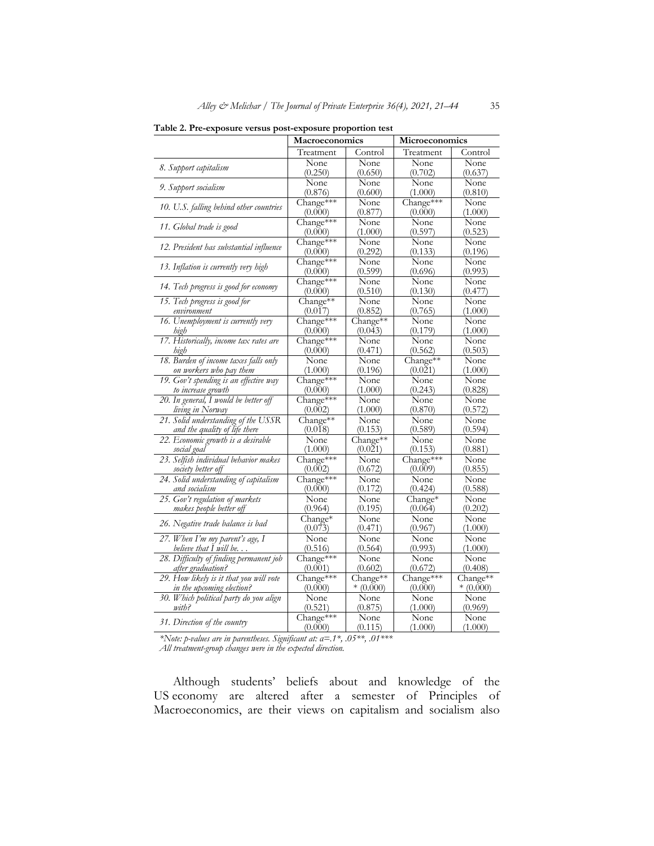| <b>radic 2. Fic-exposure versus post-exposure proportion test</b> | Macroeconomics       |                 | Microeconomics  |                 |  |
|-------------------------------------------------------------------|----------------------|-----------------|-----------------|-----------------|--|
|                                                                   | Treatment            | Control         | Treatment       | Control         |  |
|                                                                   | None                 | None            | None            | None            |  |
| 8. Support capitalism                                             | (0.250)              | (0.650)         | (0.702)         | (0.637)         |  |
|                                                                   | None                 | None            | None            | None            |  |
| 9. Support socialism                                              | (0.876)              | (0.600)         | (1.000)         | (0.810)         |  |
| 10. U.S. falling behind other countries                           | Change***            | None            | Change***       | None            |  |
|                                                                   | (0.000)              | (0.877)         | (0.000)         | (1.000)         |  |
| 11. Global trade is good                                          | Change***            | None            | None            | None            |  |
|                                                                   | (0.000)              | (1.000)         | (0.597)         | (0.523)         |  |
| 12. President has substantial influence                           | Change***            | None            | None            | None            |  |
|                                                                   | (0.000)              | (0.292)         | (0.133)         | (0.196)         |  |
| 13. Inflation is currently very high                              | Change***            | None<br>(0.599) | None<br>(0.696) | None<br>(0.993) |  |
|                                                                   | (0.000)<br>Change*** | None            | None            | None            |  |
| 14. Tech progress is good for economy                             | (0.000)              | (0.510)         | (0.130)         | (0.477)         |  |
| 15. Tech progress is good for                                     | Change**             | None            | None            | None            |  |
| environment                                                       | (0.017)              | (0.852)         | (0.765)         | (1.000)         |  |
| 16. Unemployment is currently very                                | Change***            | Change**        | None            | None            |  |
| high                                                              | (0.000)              | (0.043)         | (0.179)         | (1.000)         |  |
| 17. Historically, income tax rates are                            | Change***            | None            | None            | None            |  |
| high                                                              | (0.000)              | (0.471)         | (0.562)         | (0.503)         |  |
| 18. Burden of income taxes falls only                             | None                 | None            | Change**        | None            |  |
| on workers who pay them                                           | (1.000)              | (0.196)         | (0.021)         | (1.000)         |  |
| 19. Gov't spending is an effective way                            | Change***            | None            | None            | None            |  |
| to increase growth<br>20. In general, I would be better off       | (0.000)<br>Change*** | (1.000)<br>None | (0.243)<br>None | (0.828)<br>None |  |
| living in Norway                                                  | (0.002)              | (1.000)         | (0.870)         | (0.572)         |  |
| 21. Solid understanding of the USSR                               | Change**             | None            | None            | None            |  |
| and the quality of life there                                     | (0.018)              | (0.153)         | (0.589)         | (0.594)         |  |
| 22. Economic growth is a desirable                                | None                 | Change**        | None            | None            |  |
| social goal                                                       | (1.000)              | (0.021)         | (0.153)         | (0.881)         |  |
| 23. Selfish individual behavior makes                             | Change***            | None            | Change***       | None            |  |
| society better off                                                | (0.002)              | (0.672)         | (0.009)         | (0.855)         |  |
| 24. Solid understanding of capitalism                             | Change***            | None            | None            | None            |  |
| and socialism                                                     | (0.000)              | (0.172)         | (0.424)         | (0.588)         |  |
| 25. Gov't regulation of markets                                   | None<br>(0.964)      | None<br>(0.195) | Change*         | None<br>(0.202) |  |
| makes people better off                                           | Change*              | None            | (0.064)<br>None | None            |  |
| 26. Negative trade balance is bad                                 | (0.073)              | (0.471)         | (0.967)         | (1.000)         |  |
| 27. When I'm my parent's age, I                                   | None                 | None            | None            | None            |  |
| believe that I will be                                            | (0.516)              | (0.564)         | (0.993)         | (1.000)         |  |
| 28. Difficulty of finding permanent job                           | Change***            | None            | None            | None            |  |
| after graduation?                                                 | (0.001)              | (0.602)         | (0.672)         | (0.408)         |  |
| 29. How likely is it that you will vote                           | Change***            | Change**        | Change***       | Change**        |  |
| in the upcoming election?                                         | (0.000)              | $*(0.000)$      | (0.000)         | $*(0.000)$      |  |
| 30. Which political party do you align                            | None                 | None            | None            | None            |  |
| with?                                                             | (0.521)              | (0.875)         | (1.000)         | (0.969)         |  |
| 31. Direction of the country                                      | Change***            | None            | None            | None            |  |
|                                                                   | (0.000)              | (0.115)         | (1.000)         | (1.000)         |  |

**Table 2. Pre-exposure versus post-exposure proportion test**

*\*Note: p-values are in parentheses. Significant at: α=.1\*, .05\*\*, .01\*\*\* All treatment-group changes were in the expected direction.*

Although students' beliefs about and knowledge of the US economy are altered after a semester of Principles of Macroeconomics, are their views on capitalism and socialism also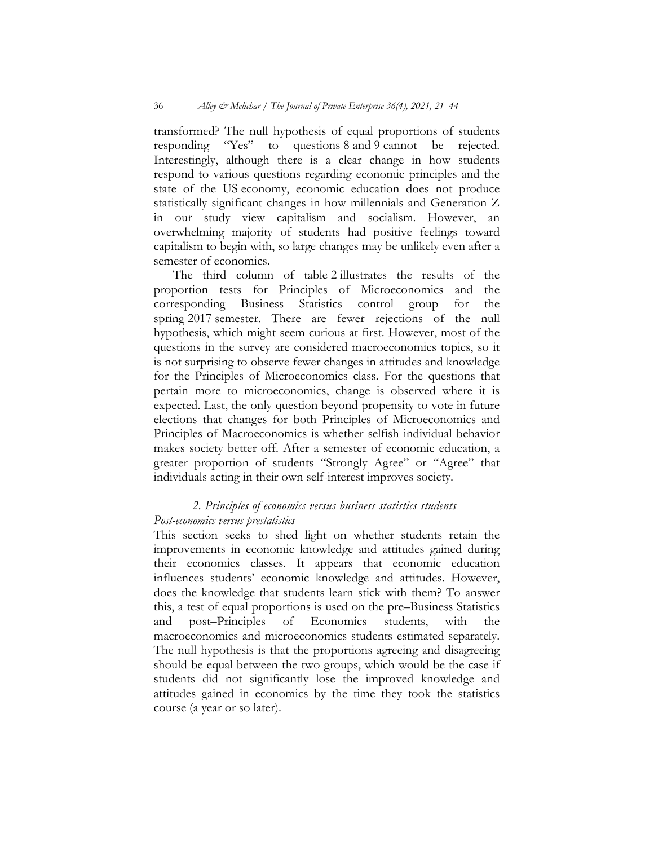transformed? The null hypothesis of equal proportions of students<br>responding "Yes" to questions 8 and 9 cannot be rejected. to questions  $8$  and  $9$  cannot be rejected. Interestingly, although there is a clear change in how students respond to various questions regarding economic principles and the state of the US economy, economic education does not produce statistically significant changes in how millennials and Generation Z in our study view capitalism and socialism. However, an overwhelming majority of students had positive feelings toward capitalism to begin with, so large changes may be unlikely even after a semester of economics.

The third column of table 2 illustrates the results of the proportion tests for Principles of Microeconomics and the corresponding Business Statistics control group for the spring 2017 semester. There are fewer rejections of the null hypothesis, which might seem curious at first. However, most of the questions in the survey are considered macroeconomics topics, so it is not surprising to observe fewer changes in attitudes and knowledge for the Principles of Microeconomics class. For the questions that pertain more to microeconomics, change is observed where it is expected. Last, the only question beyond propensity to vote in future elections that changes for both Principles of Microeconomics and Principles of Macroeconomics is whether selfish individual behavior makes society better off. After a semester of economic education, a greater proportion of students "Strongly Agree" or "Agree" that individuals acting in their own self-interest improves society.

# *2. Principles of economics versus business statistics students Post-economics versus prestatistics*

This section seeks to shed light on whether students retain the improvements in economic knowledge and attitudes gained during their economics classes. It appears that economic education influences students' economic knowledge and attitudes. However, does the knowledge that students learn stick with them? To answer this, a test of equal proportions is used on the pre–Business Statistics and post–Principles of Economics students, with the macroeconomics and microeconomics students estimated separately. The null hypothesis is that the proportions agreeing and disagreeing should be equal between the two groups, which would be the case if students did not significantly lose the improved knowledge and attitudes gained in economics by the time they took the statistics course (a year or so later).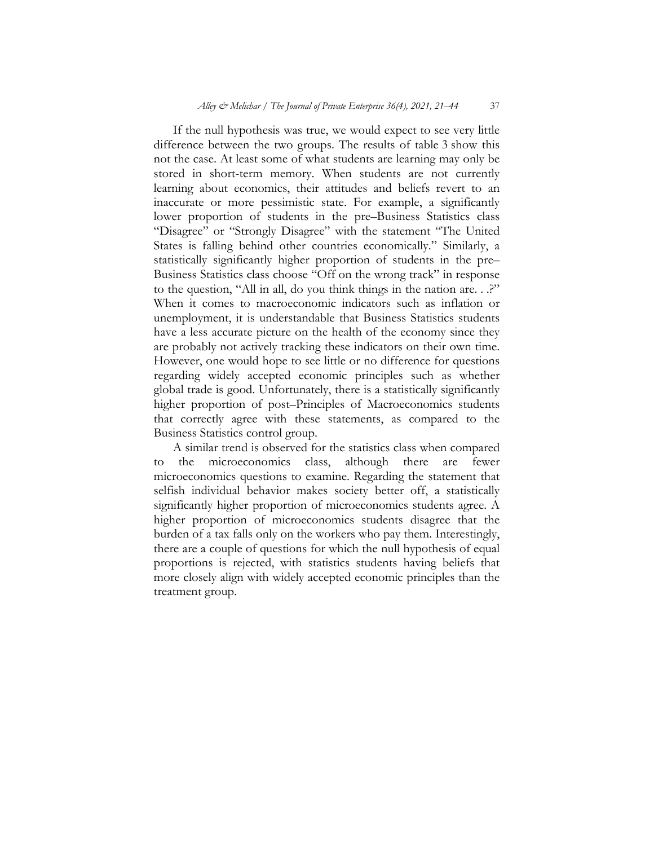If the null hypothesis was true, we would expect to see very little difference between the two groups. The results of table 3 show this not the case. At least some of what students are learning may only be stored in short-term memory. When students are not currently learning about economics, their attitudes and beliefs revert to an inaccurate or more pessimistic state. For example, a significantly lower proportion of students in the pre–Business Statistics class "Disagree" or "Strongly Disagree" with the statement "The United States is falling behind other countries economically." Similarly, a statistically significantly higher proportion of students in the pre– Business Statistics class choose "Off on the wrong track" in response to the question, "All in all, do you think things in the nation are. . .?" When it comes to macroeconomic indicators such as inflation or unemployment, it is understandable that Business Statistics students have a less accurate picture on the health of the economy since they are probably not actively tracking these indicators on their own time. However, one would hope to see little or no difference for questions regarding widely accepted economic principles such as whether global trade is good. Unfortunately, there is a statistically significantly higher proportion of post–Principles of Macroeconomics students that correctly agree with these statements, as compared to the Business Statistics control group.

A similar trend is observed for the statistics class when compared to the microeconomics class, although there are fewer microeconomics questions to examine. Regarding the statement that selfish individual behavior makes society better off, a statistically significantly higher proportion of microeconomics students agree. A higher proportion of microeconomics students disagree that the burden of a tax falls only on the workers who pay them. Interestingly, there are a couple of questions for which the null hypothesis of equal proportions is rejected, with statistics students having beliefs that more closely align with widely accepted economic principles than the treatment group.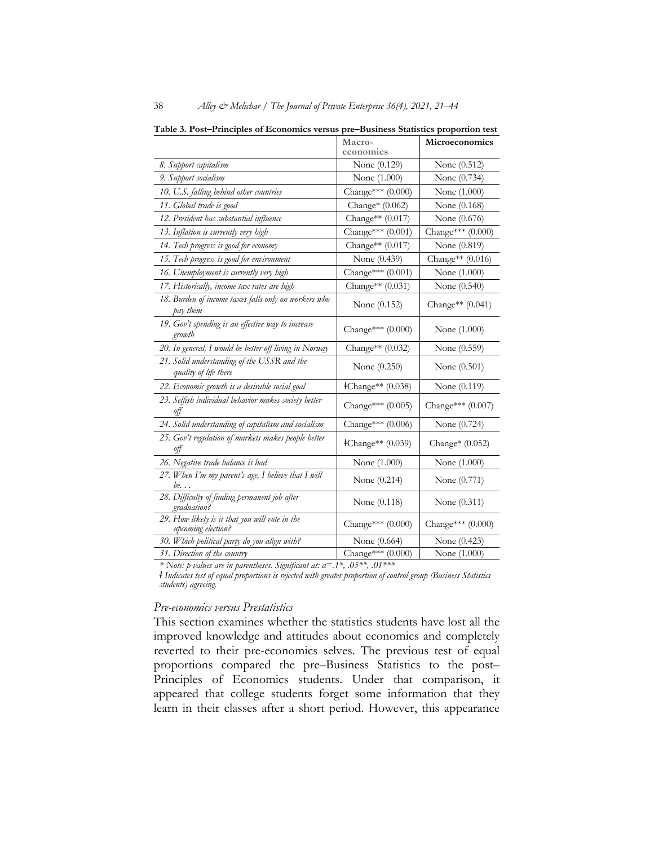|                                                                      | Macro-<br>economics      | Microeconomics     |
|----------------------------------------------------------------------|--------------------------|--------------------|
| 8. Support capitalism                                                | None (0.129)             | None (0.512)       |
| 9. Support socialism                                                 | None (1.000)             | None (0.734)       |
| 10. U.S. falling behind other countries                              | Change*** (0.000)        | None (1.000)       |
| 11. Global trade is good                                             | Change* $(0.062)$        | None (0.168)       |
| 12. President has substantial influence                              | Change** (0.017)         | None (0.676)       |
| 13. Inflation is currently very high                                 | Change*** (0.001)        | Change*** (0.000)  |
| 14. Tech progress is good for economy                                | Change** $(0.017)$       | None (0.819)       |
| 15. Tech progress is good for environment                            | None (0.439)             | Change** (0.016)   |
| 16. Unemployment is currently very high                              | Change*** $(0.001)$      | None (1.000)       |
| 17. Historically, income tax rates are high                          | Change** (0.031)         | None (0.540)       |
| 18. Burden of income taxes falls only on workers who<br>pay them     | None $(0.152)$           | Change** $(0.041)$ |
| 19. Gov't spending is an effective way to increase<br>growth         | Change*** (0.000)        | None (1.000)       |
| 20. In general, I would be better off living in Norway               | Change** $(0.032)$       | None (0.559)       |
| 21. Solid understanding of the USSR and the<br>quality of life there | None (0.250)             | None $(0.501)$     |
| 22. Economic growth is a desirable social goal                       | <b>‡Change**</b> (0.038) | None (0.119)       |
| 23. Selfish individual behavior makes society better<br>off          | Change*** (0.005)        | Change*** (0.007)  |
| 24. Solid understanding of capitalism and socialism                  | Change*** (0.006)        | None (0.724)       |
| 25. Gov't regulation of markets makes people better<br>off           | <b>‡Change**</b> (0.039) | Change* $(0.052)$  |
| 26. Negative trade balance is bad                                    | None (1.000)             | None (1.000)       |
| 27. When I'm my parent's age, I believe that I will<br>be            | None $(0.214)$           | None (0.771)       |
| 28. Difficulty of finding permanent job after<br>graduation?         | None (0.118)             | None (0.311)       |
| 29. How likely is it that you will vote in the<br>upcoming election? | Change*** (0.000)        | Change*** (0.000)  |
| 30. Which political party do you align with?                         | None (0.664)             | None (0.423)       |
| 31. Direction of the country                                         | Change*** (0.000)        | None (1.000)       |

**Table 3. Post–Principles of Economics versus pre–Business Statistics proportion test**

*\* Note: p-values are in parentheses. Significant at: α=.1\*, .05\*\*, .01\*\*\**

*ǂ Indicates test of equal proportions is rejected with greater proportion of control group (Business Statistics students) agreeing.*

#### *Pre-economics versus Prestatistics*

This section examines whether the statistics students have lost all the improved knowledge and attitudes about economics and completely reverted to their pre-economics selves. The previous test of equal proportions compared the pre–Business Statistics to the post– Principles of Economics students. Under that comparison, it appeared that college students forget some information that they learn in their classes after a short period. However, this appearance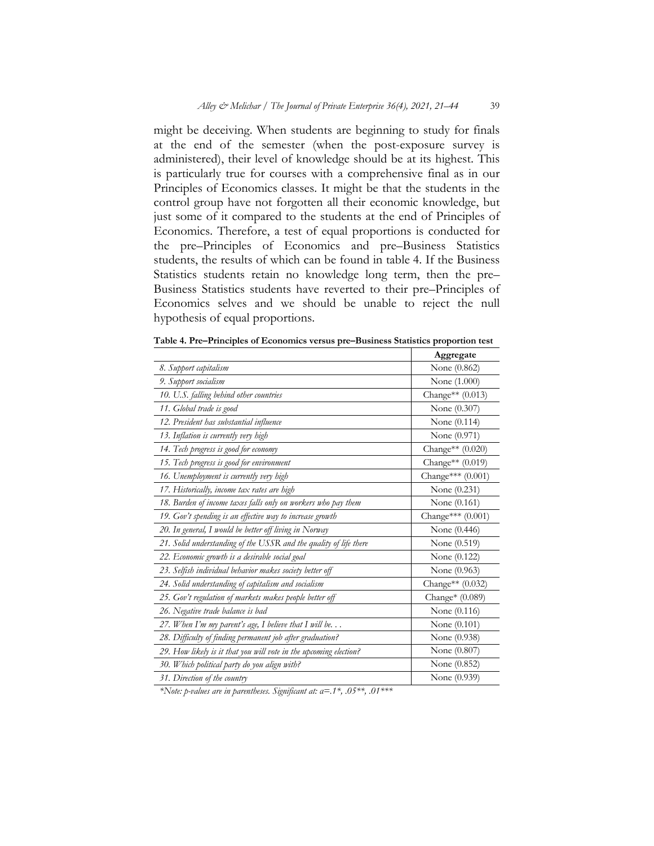might be deceiving. When students are beginning to study for finals at the end of the semester (when the post-exposure survey is administered), their level of knowledge should be at its highest. This is particularly true for courses with a comprehensive final as in our Principles of Economics classes. It might be that the students in the control group have not forgotten all their economic knowledge, but just some of it compared to the students at the end of Principles of Economics. Therefore, a test of equal proportions is conducted for the pre–Principles of Economics and pre–Business Statistics students, the results of which can be found in table 4. If the Business Statistics students retain no knowledge long term, then the pre– Business Statistics students have reverted to their pre–Principles of Economics selves and we should be unable to reject the null hypothesis of equal proportions.

|                                                                   | Aggregate          |
|-------------------------------------------------------------------|--------------------|
| 8. Support capitalism                                             | None (0.862)       |
| 9. Support socialism                                              | None (1.000)       |
| 10. U.S. falling behind other countries                           | Change** $(0.013)$ |
| 11. Global trade is good                                          | None (0.307)       |
| 12. President has substantial influence                           | None (0.114)       |
| 13. Inflation is currently very high                              | None (0.971)       |
| 14. Tech progress is good for economy                             | Change** $(0.020)$ |
| 15. Tech progress is good for environment                         | Change** (0.019)   |
| 16. Unemployment is currently very high                           | Change*** (0.001)  |
| 17. Historically, income tax rates are high                       | None (0.231)       |
| 18. Burden of income taxes falls only on workers who pay them     | None (0.161)       |
| 19. Gov't spending is an effective way to increase growth         | Change*** (0.001)  |
| 20. In general, I would be better off living in Norway            | None (0.446)       |
| 21. Solid understanding of the USSR and the quality of life there | None (0.519)       |
| 22. Economic growth is a desirable social goal                    | None (0.122)       |
| 23. Selfish individual behavior makes society better off          | None (0.963)       |
| 24. Solid understanding of capitalism and socialism               | Change** (0.032)   |
| 25. Gov't regulation of markets makes people better off           | Change* (0.089)    |
| 26. Negative trade balance is bad                                 | None (0.116)       |
| 27. When I'm my parent's age, I believe that I will be            | None (0.101)       |
| 28. Difficulty of finding permanent job after graduation?         | None (0.938)       |
| 29. How likely is it that you will vote in the upcoming election? | None (0.807)       |
| 30. Which political party do you align with?                      | None (0.852)       |
| 31. Direction of the country                                      | None (0.939)       |

**Table 4. Pre–Principles of Economics versus pre–Business Statistics proportion test** 

*\*Note: p-values are in parentheses. Significant at: α=.1\*, .05\*\*, .01\*\*\**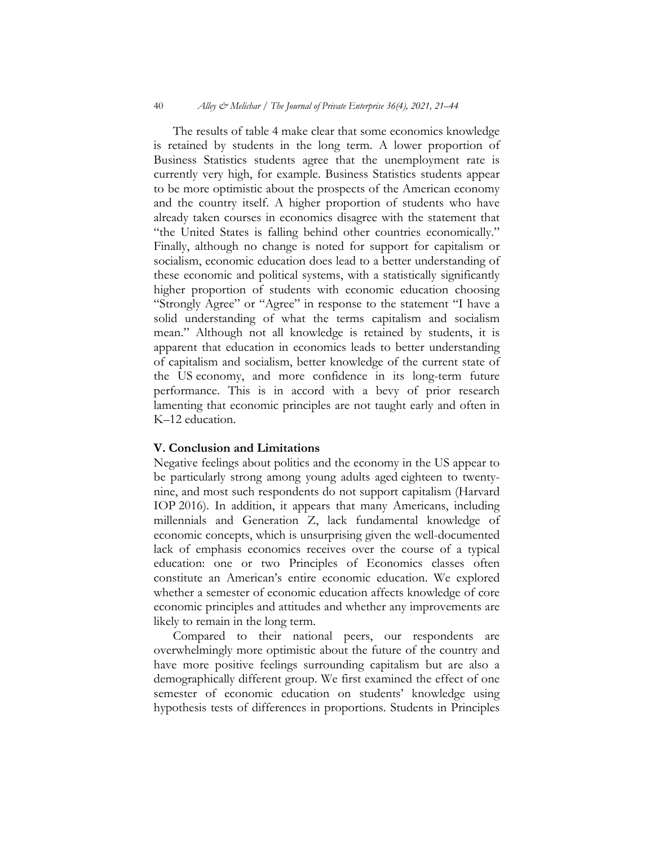The results of table 4 make clear that some economics knowledge is retained by students in the long term. A lower proportion of Business Statistics students agree that the unemployment rate is currently very high, for example. Business Statistics students appear to be more optimistic about the prospects of the American economy and the country itself. A higher proportion of students who have already taken courses in economics disagree with the statement that "the United States is falling behind other countries economically." Finally, although no change is noted for support for capitalism or socialism, economic education does lead to a better understanding of these economic and political systems, with a statistically significantly higher proportion of students with economic education choosing "Strongly Agree" or "Agree" in response to the statement "I have a solid understanding of what the terms capitalism and socialism mean." Although not all knowledge is retained by students, it is apparent that education in economics leads to better understanding of capitalism and socialism, better knowledge of the current state of the US economy, and more confidence in its long-term future performance. This is in accord with a bevy of prior research lamenting that economic principles are not taught early and often in K–12 education.

### **V. Conclusion and Limitations**

Negative feelings about politics and the economy in the US appear to be particularly strong among young adults aged eighteen to twentynine, and most such respondents do not support capitalism (Harvard IOP 2016). In addition, it appears that many Americans, including millennials and Generation Z, lack fundamental knowledge of economic concepts, which is unsurprising given the well-documented lack of emphasis economics receives over the course of a typical education: one or two Principles of Economics classes often constitute an American's entire economic education. We explored whether a semester of economic education affects knowledge of core economic principles and attitudes and whether any improvements are likely to remain in the long term.

Compared to their national peers, our respondents are overwhelmingly more optimistic about the future of the country and have more positive feelings surrounding capitalism but are also a demographically different group. We first examined the effect of one semester of economic education on students' knowledge using hypothesis tests of differences in proportions. Students in Principles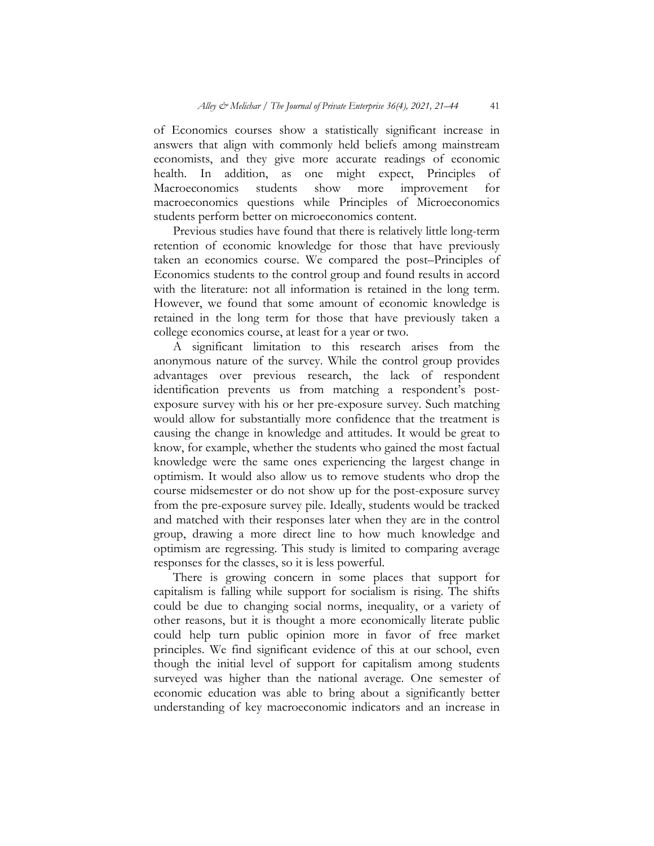of Economics courses show a statistically significant increase in answers that align with commonly held beliefs among mainstream economists, and they give more accurate readings of economic health. In addition, as one might expect, Principles of Macroeconomics students show more improvement for Macroeconomics students show more improvement for macroeconomics questions while Principles of Microeconomics students perform better on microeconomics content.

Previous studies have found that there is relatively little long-term retention of economic knowledge for those that have previously taken an economics course. We compared the post–Principles of Economics students to the control group and found results in accord with the literature: not all information is retained in the long term. However, we found that some amount of economic knowledge is retained in the long term for those that have previously taken a college economics course, at least for a year or two.

A significant limitation to this research arises from the anonymous nature of the survey. While the control group provides advantages over previous research, the lack of respondent identification prevents us from matching a respondent's postexposure survey with his or her pre-exposure survey. Such matching would allow for substantially more confidence that the treatment is causing the change in knowledge and attitudes. It would be great to know, for example, whether the students who gained the most factual knowledge were the same ones experiencing the largest change in optimism. It would also allow us to remove students who drop the course midsemester or do not show up for the post-exposure survey from the pre-exposure survey pile. Ideally, students would be tracked and matched with their responses later when they are in the control group, drawing a more direct line to how much knowledge and optimism are regressing. This study is limited to comparing average responses for the classes, so it is less powerful.

There is growing concern in some places that support for capitalism is falling while support for socialism is rising. The shifts could be due to changing social norms, inequality, or a variety of other reasons, but it is thought a more economically literate public could help turn public opinion more in favor of free market principles. We find significant evidence of this at our school, even though the initial level of support for capitalism among students surveyed was higher than the national average. One semester of economic education was able to bring about a significantly better understanding of key macroeconomic indicators and an increase in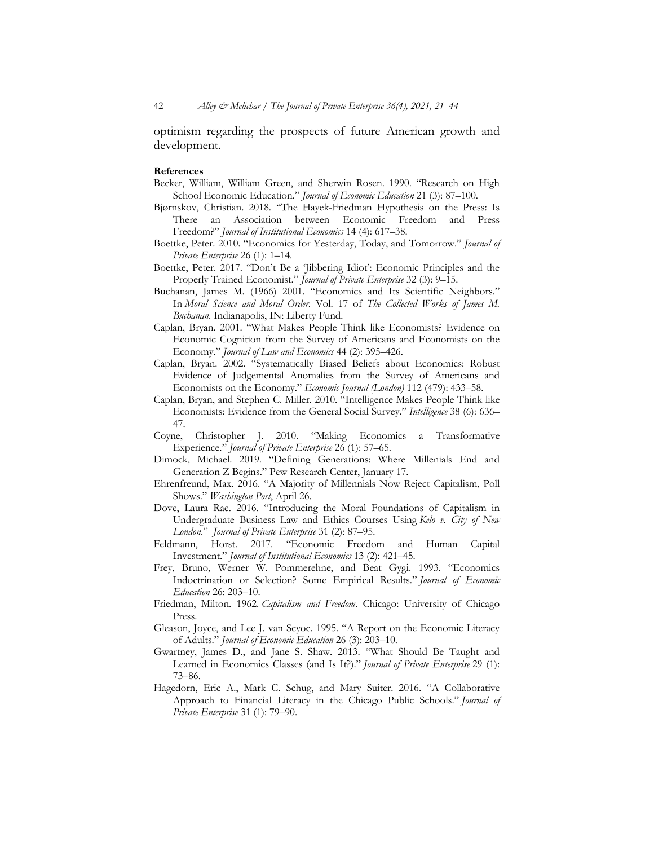optimism regarding the prospects of future American growth and development.

#### **References**

- Becker, William, William Green, and Sherwin Rosen. 1990. "Research on High School Economic Education." *Journal of Economic Education* 21 (3): 87–100.
- Bjørnskov, Christian. 2018. "The Hayek-Friedman Hypothesis on the Press: Is There an Association between Economic Freedom and Press Freedom?" *Journal of Institutional Economics* 14 (4): 617–38.
- Boettke, Peter. 2010. "Economics for Yesterday, Today, and Tomorrow." *Journal of Private Enterprise* 26 (1): 1–14.
- Boettke, Peter. 2017. "Don't Be a 'Jibbering Idiot': Economic Principles and the Properly Trained Economist." *Journal of Private Enterprise* 32 (3): 9–15.
- Buchanan, James M. (1966) 2001. "Economics and Its Scientific Neighbors." In *Moral Science and Moral Order*. Vol. 17 of *The Collected Works of James M. Buchanan*. Indianapolis, IN: Liberty Fund.
- Caplan, Bryan. 2001. "What Makes People Think like Economists? Evidence on Economic Cognition from the Survey of Americans and Economists on the Economy." *Journal of Law and Economics* 44 (2): 395–426.
- Caplan, Bryan. 2002. "Systematically Biased Beliefs about Economics: Robust Evidence of Judgemental Anomalies from the Survey of Americans and Economists on the Economy." *Economic Journal (London)* 112 (479): 433–58.
- Caplan, Bryan, and Stephen C. Miller. 2010. "Intelligence Makes People Think like Economists: Evidence from the General Social Survey." *Intelligence* 38 (6): 636– 47.
- Coyne, Christopher J. 2010. "Making Economics a Transformative Experience." *Journal of Private Enterprise* 26 (1): 57–65.
- Dimock, Michael. 2019. "Defining Generations: Where Millenials End and Generation Z Begins." Pew Research Center, January 17.
- Ehrenfreund, Max. 2016. "A Majority of Millennials Now Reject Capitalism, Poll Shows." *Washington Post*, April 26.
- Dove, Laura Rae. 2016. "Introducing the Moral Foundations of Capitalism in Undergraduate Business Law and Ethics Courses Using *Kelo v. City of New London*." *Journal of Private Enterprise* 31 (2): 87–95.
- Feldmann, Horst. 2017. "Economic Freedom and Human Capital Investment." *Journal of Institutional Economics* 13 (2): 421–45.
- Frey, Bruno, Werner W. Pommerehne, and Beat Gygi. 1993. "Economics Indoctrination or Selection? Some Empirical Results." *Journal of Economic Education* 26: 203–10.
- Friedman, Milton. 1962. *Capitalism and Freedom*. Chicago: University of Chicago Press.
- Gleason, Joyce, and Lee J. van Scyoc. 1995. "A Report on the Economic Literacy of Adults." *Journal of Economic Education* 26 (3): 203–10.
- Gwartney, James D., and Jane S. Shaw. 2013. "What Should Be Taught and Learned in Economics Classes (and Is It?)." *Journal of Private Enterprise* 29 (1): 73–86.
- Hagedorn, Eric A., Mark C. Schug, and Mary Suiter. 2016. "A Collaborative Approach to Financial Literacy in the Chicago Public Schools." *Journal of Private Enterprise* 31 (1): 79–90.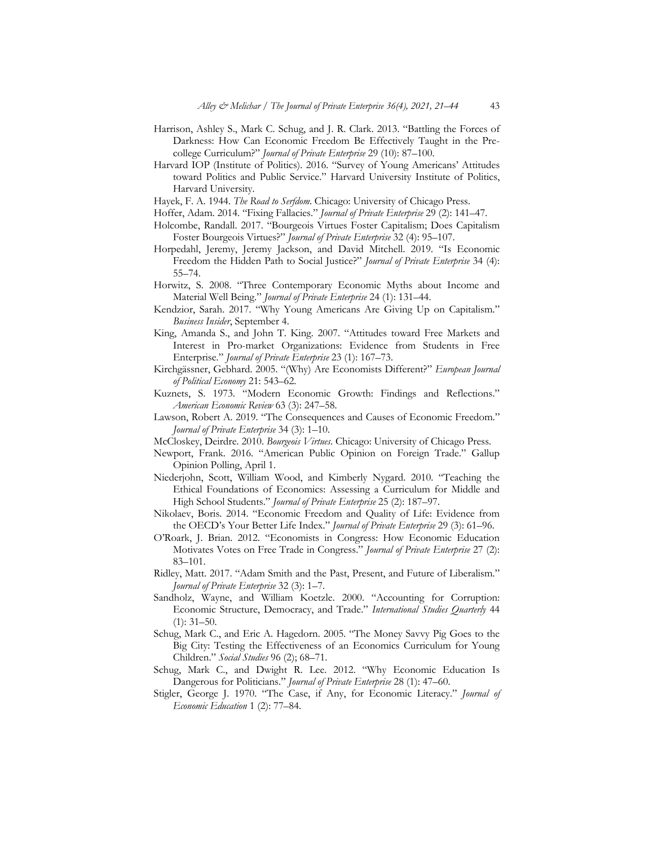- Harrison, Ashley S., Mark C. Schug, and J. R. Clark. 2013. "Battling the Forces of Darkness: How Can Economic Freedom Be Effectively Taught in the Precollege Curriculum?" *Journal of Private Enterprise* 29 (10): 87–100.
- Harvard IOP (Institute of Politics). 2016. "Survey of Young Americans' Attitudes toward Politics and Public Service." Harvard University Institute of Politics, Harvard University.
- Hayek, F. A. 1944. *The Road to Serfdom*. Chicago: University of Chicago Press.
- Hoffer, Adam. 2014. "Fixing Fallacies." *Journal of Private Enterprise* 29 (2): 141–47.
- Holcombe, Randall. 2017. "Bourgeois Virtues Foster Capitalism; Does Capitalism Foster Bourgeois Virtues?" *Journal of Private Enterprise* 32 (4): 95–107.
- Horpedahl, Jeremy, Jeremy Jackson, and David Mitchell. 2019. "Is Economic Freedom the Hidden Path to Social Justice?" *Journal of Private Enterprise* 34 (4): 55–74.
- Horwitz, S. 2008. "Three Contemporary Economic Myths about Income and Material Well Being." *Journal of Private Enterprise* 24 (1): 131–44.
- Kendzior, Sarah. 2017. "Why Young Americans Are Giving Up on Capitalism." *Business Insider*, September 4.
- King, Amanda S., and John T. King. 2007. "Attitudes toward Free Markets and Interest in Pro-market Organizations: Evidence from Students in Free Enterprise." *Journal of Private Enterprise* 23 (1): 167–73.
- Kirchgässner, Gebhard. 2005. "(Why) Are Economists Different?" *European Journal of Political Economy* 21: 543–62.
- Kuznets, S. 1973. "Modern Economic Growth: Findings and Reflections." *American Economic Review* 63 (3): 247–58.
- Lawson, Robert A. 2019. "The Consequences and Causes of Economic Freedom." *Journal of Private Enterprise* 34 (3): 1–10.
- McCloskey, Deirdre. 2010. *Bourgeois Virtues*. Chicago: University of Chicago Press.
- Newport, Frank. 2016. "American Public Opinion on Foreign Trade." Gallup Opinion Polling, April 1.
- Niederjohn, Scott, William Wood, and Kimberly Nygard. 2010. "Teaching the Ethical Foundations of Economics: Assessing a Curriculum for Middle and High School Students." *Journal of Private Enterprise* 25 (2): 187–97.
- Nikolaev, Boris. 2014. "Economic Freedom and Quality of Life: Evidence from the OECD's Your Better Life Index." *Journal of Private Enterprise* 29 (3): 61–96.
- O'Roark, J. Brian. 2012. "Economists in Congress: How Economic Education Motivates Votes on Free Trade in Congress." *Journal of Private Enterprise* 27 (2): 83–101.
- Ridley, Matt. 2017. "Adam Smith and the Past, Present, and Future of Liberalism." *Journal of Private Enterprise* 32 (3): 1–7.
- Sandholz, Wayne, and William Koetzle. 2000. "Accounting for Corruption: Economic Structure, Democracy, and Trade." *International Studies Quarterly* 44  $(1): 31–50.$
- Schug, Mark C., and Eric A. Hagedorn. 2005. "The Money Savvy Pig Goes to the Big City: Testing the Effectiveness of an Economics Curriculum for Young Children." *Social Studies* 96 (2); 68–71.
- Schug, Mark C., and Dwight R. Lee. 2012. "Why Economic Education Is Dangerous for Politicians." *Journal of Private Enterprise* 28 (1): 47–60.
- Stigler, George J. 1970. "The Case, if Any, for Economic Literacy." *Journal of Economic Education* 1 (2): 77–84.